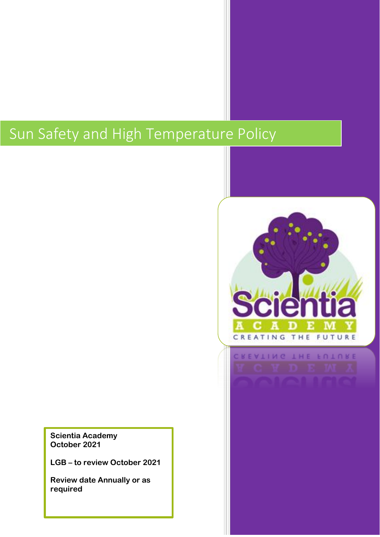# Sun Safety and High Temperature Policy

**Scientia Academy October 2021**

**LGB – to review October 2021**

**Review date Annually or as required**

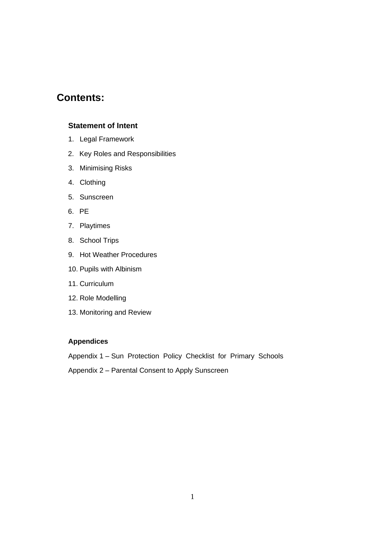# **Contents:**

#### **Statement of Intent**

- 1. Legal Framework
- 2. Key Roles and Responsibilities
- 3. Minimising Risks
- 4. Clothing
- 5. Sunscreen
- 6. PE
- 7. Playtimes
- 8. School Trips
- 9. Hot Weather Procedures
- 10. Pupils with Albinism
- 11. Curriculum
- 12. Role Modelling
- 13. Monitoring and Review

#### **Appendices**

Appendix 1 – Sun Protection Policy Checklist for Primary Schools

Appendix 2 – Parental Consent to Apply Sunscreen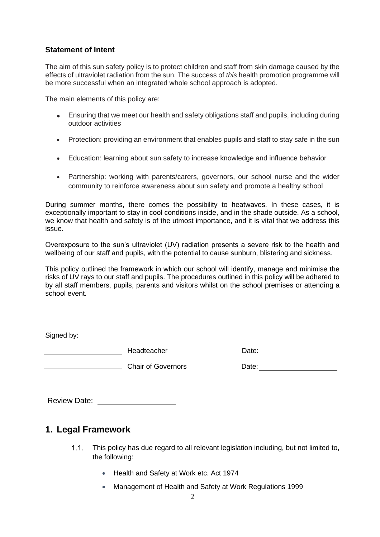#### **Statement of Intent**

The aim of this sun safety policy is to protect children and staff from skin damage caused by the effects of ultraviolet radiation from the sun. The success of *this* health promotion programme will be more successful when an integrated whole school approach is adopted.

The main elements of this policy are:

- Ensuring that we meet our health and safety obligations staff and pupils, including during outdoor activities
- Protection: providing an environment that enables pupils and staff to stay safe in the sun
- Education: learning about sun safety to increase knowledge and influence behavior
- Partnership: working with parents/carers, governors, our school nurse and the wider community to reinforce awareness about sun safety and promote a healthy school

During summer months, there comes the possibility to heatwaves. In these cases, it is exceptionally important to stay in cool conditions inside, and in the shade outside. As a school, we know that health and safety is of the utmost importance, and it is vital that we address this issue.

Overexposure to the sun's ultraviolet (UV) radiation presents a severe risk to the health and wellbeing of our staff and pupils, with the potential to cause sunburn, blistering and sickness.

This policy outlined the framework in which our school will identify, manage and minimise the risks of UV rays to our staff and pupils. The procedures outlined in this policy will be adhered to by all staff members, pupils, parents and visitors whilst on the school premises or attending a school event.

Signed by:

**Example 2018** Headteacher **Headteacher Date:** Date:

Chair of Governors

| Date: |
|-------|
|-------|

Review Date: New York 1980

## **1. Legal Framework**

- $1.1.$ This policy has due regard to all relevant legislation including, but not limited to, the following:
	- Health and Safety at Work etc. Act 1974
	- Management of Health and Safety at Work Regulations 1999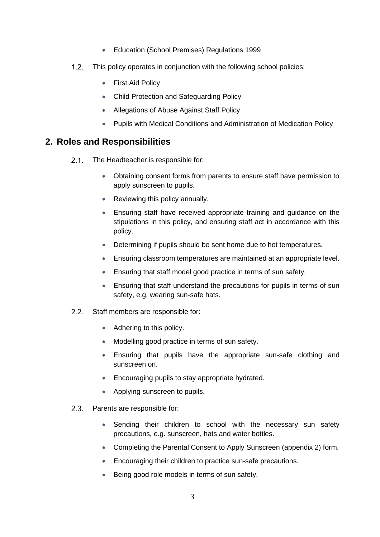- Education (School Premises) Regulations 1999
- $1.2.$ This policy operates in conjunction with the following school policies:
	- First Aid Policy
	- Child Protection and Safeguarding Policy
	- Allegations of Abuse Against Staff Policy
	- Pupils with Medical Conditions and Administration of Medication Policy

## **2. Roles and Responsibilities**

- $2.1.$ The Headteacher is responsible for:
	- Obtaining consent forms from parents to ensure staff have permission to apply sunscreen to pupils.
	- Reviewing this policy annually.
	- Ensuring staff have received appropriate training and guidance on the stipulations in this policy, and ensuring staff act in accordance with this policy.
	- Determining if pupils should be sent home due to hot temperatures.
	- Ensuring classroom temperatures are maintained at an appropriate level.
	- Ensuring that staff model good practice in terms of sun safety.
	- Ensuring that staff understand the precautions for pupils in terms of sun safety, e.g. wearing sun-safe hats.
- $2.2$ Staff members are responsible for:
	- Adhering to this policy.
	- Modelling good practice in terms of sun safety.
	- Ensuring that pupils have the appropriate sun-safe clothing and sunscreen on.
	- Encouraging pupils to stay appropriate hydrated.
	- Applying sunscreen to pupils.
- $2.3.$ Parents are responsible for:
	- Sending their children to school with the necessary sun safety precautions, e.g. sunscreen, hats and water bottles.
	- Completing the [Parental Consent to Apply Sunscreen](#page-11-0) (appendix 2) form.
	- Encouraging their children to practice sun-safe precautions.
	- Being good role models in terms of sun safety.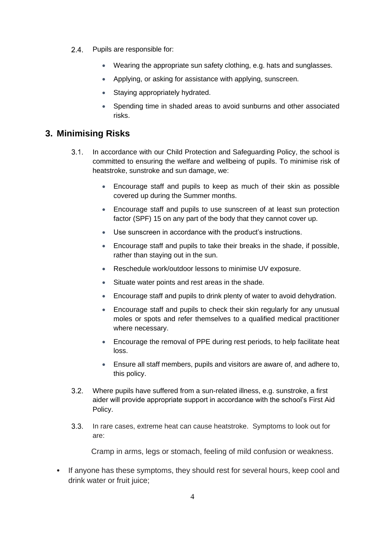- 2.4. Pupils are responsible for:
	- Wearing the appropriate sun safety clothing, e.g. hats and sunglasses.
	- Applying, or asking for assistance with applying, sunscreen.
	- Staying appropriately hydrated.
	- Spending time in shaded areas to avoid sunburns and other associated risks.

## **3. Minimising Risks**

- $3.1.$ In accordance with our Child Protection and Safeguarding Policy, the school is committed to ensuring the welfare and wellbeing of pupils. To minimise risk of heatstroke, sunstroke and sun damage, we:
	- Encourage staff and pupils to keep as much of their skin as possible covered up during the Summer months.
	- Encourage staff and pupils to use sunscreen of at least sun protection factor (SPF) 15 on any part of the body that they cannot cover up.
	- Use sunscreen in accordance with the product's instructions.
	- Encourage staff and pupils to take their breaks in the shade, if possible, rather than staying out in the sun.
	- Reschedule work/outdoor lessons to minimise UV exposure.
	- Situate water points and rest areas in the shade.
	- Encourage staff and pupils to drink plenty of water to avoid dehydration.
	- Encourage staff and pupils to check their skin regularly for any unusual moles or spots and refer themselves to a qualified medical practitioner where necessary.
	- Encourage the removal of PPE during rest periods, to help facilitate heat loss.
	- Ensure all staff members, pupils and visitors are aware of, and adhere to, this policy.
- $3.2.$ Where pupils have suffered from a sun-related illness, e.g. sunstroke, a first aider will provide appropriate support in accordance with the school's First Aid Policy.
- $3.3.$ In rare cases, extreme heat can cause heatstroke. Symptoms to look out for are:

Cramp in arms, legs or stomach, feeling of mild confusion or weakness.

• If anyone has these symptoms, they should rest for several hours, keep cool and drink water or fruit juice;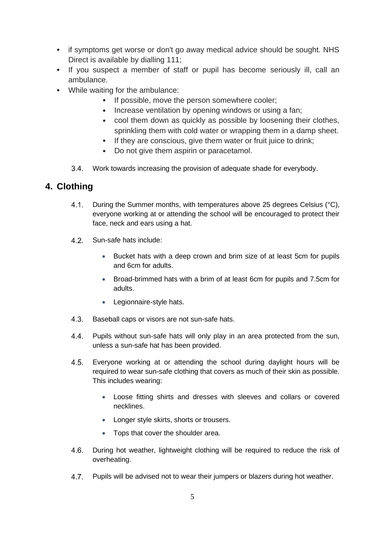- if symptoms get worse or don't go away medical advice should be sought. NHS Direct is available by dialling 111;
- If you suspect a member of staff or pupil has become seriously ill, call an ambulance.
- While waiting for the ambulance:
	- If possible, move the person somewhere cooler;
	- Increase ventilation by opening windows or using a fan;
	- cool them down as quickly as possible by loosening their clothes, sprinkling them with cold water or wrapping them in a damp sheet.
	- If they are conscious, give them water or fruit juice to drink;
	- Do not give them aspirin or paracetamol.
	- Work towards increasing the provision of adequate shade for everybody.

## **4. Clothing**

- 4.1. During the Summer months, with temperatures above 25 degrees Celsius (°C), everyone working at or attending the school will be encouraged to protect their face, neck and ears using a hat.
- $4.2.$ Sun-safe hats include:
	- Bucket hats with a deep crown and brim size of at least 5cm for pupils and 6cm for adults.
	- Broad-brimmed hats with a brim of at least 6cm for pupils and 7.5cm for adults.
	- Legionnaire-style hats.
- 4 3 Baseball caps or visors are not sun-safe hats.
- $4.4.$ Pupils without sun-safe hats will only play in an area protected from the sun, unless a sun-safe hat has been provided.
- $4.5.$ Everyone working at or attending the school during daylight hours will be required to wear sun-safe clothing that covers as much of their skin as possible. This includes wearing:
	- Loose fitting shirts and dresses with sleeves and collars or covered necklines.
	- Longer style skirts, shorts or trousers.
	- Tops that cover the shoulder area.
- $4.6.$ During hot weather, lightweight clothing will be required to reduce the risk of overheating.
- Pupils will be advised not to wear their jumpers or blazers during hot weather. 4.7.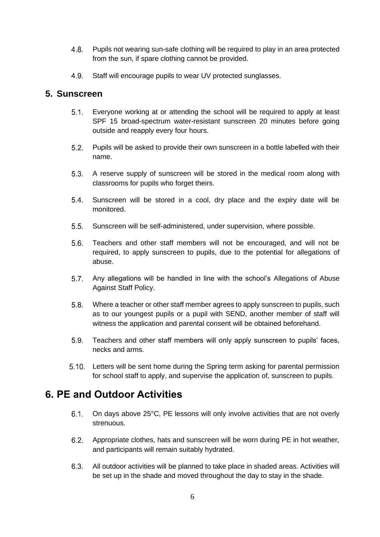- $4.8$ Pupils not wearing sun-safe clothing will be required to play in an area protected from the sun, if spare clothing cannot be provided.
- $4.9.$ Staff will encourage pupils to wear UV protected sunglasses.

### **5. Sunscreen**

- $5.1$ Everyone working at or attending the school will be required to apply at least SPF 15 broad-spectrum water-resistant sunscreen 20 minutes before going outside and reapply every four hours.
- $5.2.$ Pupils will be asked to provide their own sunscreen in a bottle labelled with their name.
- $5.3.$ A reserve supply of sunscreen will be stored in the medical room along with classrooms for pupils who forget theirs.
- $5.4.$ Sunscreen will be stored in a cool, dry place and the expiry date will be monitored.
- $5.5.$ Sunscreen will be self-administered, under supervision, where possible.
- $5.6.$ Teachers and other staff members will not be encouraged, and will not be required, to apply sunscreen to pupils, due to the potential for allegations of abuse.
- $5.7.$ Any allegations will be handled in line with the school's Allegations of Abuse Against Staff Policy.
- 58 Where a teacher or other staff member agrees to apply sunscreen to pupils, such as to our youngest pupils or a pupil with SEND, another member of staff will witness the application and parental consent will be obtained beforehand.
- $5.9.$ Teachers and other staff members will only apply sunscreen to pupils' faces, necks and arms.
- Letters will be sent home during the Spring term asking for parental permission for school staff to apply, and supervise the application of, sunscreen to pupils.

# **6. PE and Outdoor Activities**

- On days above 25°C, PE lessons will only involve activities that are not overly  $6.1$ strenuous.
- $6.2$ Appropriate clothes, hats and sunscreen will be worn during PE in hot weather, and participants will remain suitably hydrated.
- $6.3.$ All outdoor activities will be planned to take place in shaded areas. Activities will be set up in the shade and moved throughout the day to stay in the shade.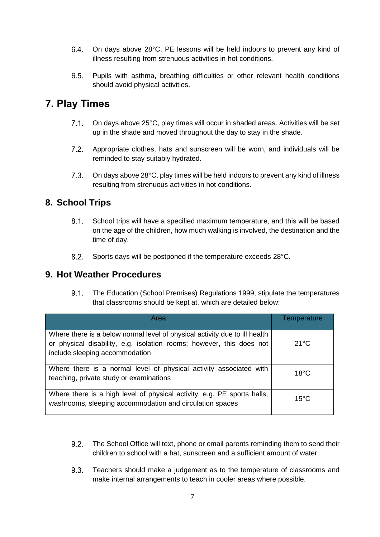- $6.4.$ On days above 28°C, PE lessons will be held indoors to prevent any kind of illness resulting from strenuous activities in hot conditions.
- $6.5.$ Pupils with asthma, breathing difficulties or other relevant health conditions should avoid physical activities.

# **7. Play Times**

- $7.1.$ On days above 25°C, play times will occur in shaded areas. Activities will be set up in the shade and moved throughout the day to stay in the shade.
- $7.2.$ Appropriate clothes, hats and sunscreen will be worn, and individuals will be reminded to stay suitably hydrated.
- $7.3.$ On days above 28°C, play times will be held indoors to prevent any kind of illness resulting from strenuous activities in hot conditions.

# **8. School Trips**

- $8.1$ . School trips will have a specified maximum temperature, and this will be based on the age of the children, how much walking is involved, the destination and the time of day.
- $8.2.$ Sports days will be postponed if the temperature exceeds 28°C.

## **9. Hot Weather Procedures**

 $9.1.$ The Education (School Premises) Regulations 1999, stipulate the temperatures that classrooms should be kept at, which are detailed below:

| Area                                                                                                                                                                                 | Temperature    |
|--------------------------------------------------------------------------------------------------------------------------------------------------------------------------------------|----------------|
| Where there is a below normal level of physical activity due to ill health<br>or physical disability, e.g. isolation rooms; however, this does not<br>include sleeping accommodation | $21^{\circ}$ C |
| Where there is a normal level of physical activity associated with<br>teaching, private study or examinations                                                                        | $18^{\circ}$ C |
| Where there is a high level of physical activity, e.g. PE sports halls,<br>washrooms, sleeping accommodation and circulation spaces                                                  | $15^{\circ}$ C |

- $9.2.$ The School Office will text, phone or email parents reminding them to send their children to school with a hat, sunscreen and a sufficient amount of water.
- $9.3.$ Teachers should make a judgement as to the temperature of classrooms and make internal arrangements to teach in cooler areas where possible.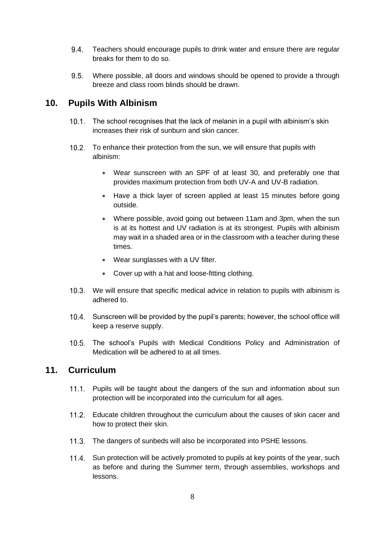- $9.4.$ Teachers should encourage pupils to drink water and ensure there are regular breaks for them to do so.
- $9.5.$ Where possible, all doors and windows should be opened to provide a through breeze and class room blinds should be drawn.

## **10. Pupils With Albinism**

- 10.1. The school recognises that the lack of melanin in a pupil with albinism's skin increases their risk of sunburn and skin cancer.
- 10.2. To enhance their protection from the sun, we will ensure that pupils with albinism:
	- Wear sunscreen with an SPF of at least 30, and preferably one that provides maximum protection from both UV-A and UV-B radiation.
	- Have a thick layer of screen applied at least 15 minutes before going outside.
	- Where possible, avoid going out between 11am and 3pm, when the sun is at its hottest and UV radiation is at its strongest. Pupils with albinism may wait in a shaded area or in the classroom with a teacher during these times.
	- Wear sunglasses with a UV filter.
	- Cover up with a hat and loose-fitting clothing.
- We will ensure that specific medical advice in relation to pupils with albinism is adhered to.
- 10.4. Sunscreen will be provided by the pupil's parents; however, the school office will keep a reserve supply.
- $10.5.$ The school's Pupils with Medical Conditions Policy and Administration of Medication will be adhered to at all times.

#### **11. Curriculum**

- 11.1. Pupils will be taught about the dangers of the sun and information about sun protection will be incorporated into the curriculum for all ages.
- 11.2. Educate children throughout the curriculum about the causes of skin cacer and how to protect their skin.
- 11.3. The dangers of sunbeds will also be incorporated into PSHE lessons.
- 11.4. Sun protection will be actively promoted to pupils at key points of the year, such as before and during the Summer term, through assemblies, workshops and lessons.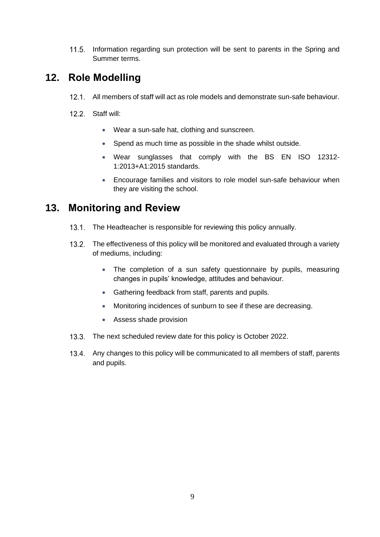11.5. Information regarding sun protection will be sent to parents in the Spring and Summer terms.

# **12. Role Modelling**

- All members of staff will act as role models and demonstrate sun-safe behaviour.
- 12.2. Staff will:
	- Wear a sun-safe hat, clothing and sunscreen.
	- Spend as much time as possible in the shade whilst outside.
	- Wear sunglasses that comply with the BS EN ISO 12312- 1:2013+A1:2015 standards.
	- Encourage families and visitors to role model sun-safe behaviour when they are visiting the school.

# **13. Monitoring and Review**

- 13.1. The Headteacher is responsible for reviewing this policy annually.
- 13.2. The effectiveness of this policy will be monitored and evaluated through a variety of mediums, including:
	- The completion of a sun safety questionnaire by pupils, measuring changes in pupils' knowledge, attitudes and behaviour.
	- Gathering feedback from staff, parents and pupils.
	- Monitoring incidences of sunburn to see if these are decreasing.
	- Assess shade provision
- 13.3. The next scheduled review date for this policy is October 2022.
- 13.4. Any changes to this policy will be communicated to all members of staff, parents and pupils.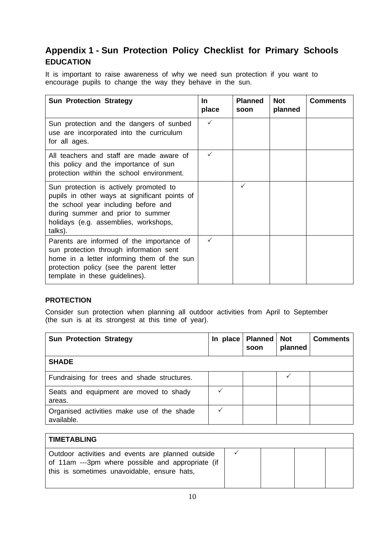# **Appendix 1 - Sun Protection Policy Checklist for Primary Schools EDUCATION**

It is important to raise awareness of why we need sun protection if you want to encourage pupils to change the way they behave in the sun.

| <b>Sun Protection Strategy</b>                                                                                                                                                                                           | <u>In</u><br>place | <b>Planned</b><br>soon | <b>Not</b><br>planned | <b>Comments</b> |
|--------------------------------------------------------------------------------------------------------------------------------------------------------------------------------------------------------------------------|--------------------|------------------------|-----------------------|-----------------|
| Sun protection and the dangers of sunbed<br>use are incorporated into the curriculum<br>for all ages.                                                                                                                    | $\checkmark$       |                        |                       |                 |
| All teachers and staff are made aware of<br>this policy and the importance of sun<br>protection within the school environment.                                                                                           |                    |                        |                       |                 |
| Sun protection is actively promoted to<br>pupils in other ways at significant points of<br>the school year including before and<br>during summer and prior to summer<br>holidays (e.g. assemblies, workshops,<br>talks). |                    | ✓                      |                       |                 |
| Parents are informed of the importance of<br>sun protection through information sent<br>home in a letter informing them of the sun<br>protection policy (see the parent letter<br>template in these guidelines).         |                    |                        |                       |                 |

#### **PROTECTION**

Consider sun protection when planning all outdoor activities from April to September (the sun is at its strongest at this time of year).

| <b>Sun Protection Strategy</b>                           | In place | <b>Planned</b><br>soon | <b>Not</b><br>planned | <b>Comments</b> |
|----------------------------------------------------------|----------|------------------------|-----------------------|-----------------|
| <b>SHADE</b>                                             |          |                        |                       |                 |
| Fundraising for trees and shade structures.              |          |                        |                       |                 |
| Seats and equipment are moved to shady<br>areas.         |          |                        |                       |                 |
| Organised activities make use of the shade<br>available. |          |                        |                       |                 |

| <b>TIMETABLING</b>                                                                                                                                    |  |  |
|-------------------------------------------------------------------------------------------------------------------------------------------------------|--|--|
| Outdoor activities and events are planned outside<br>of 11am ---3pm where possible and appropriate (if<br>this is sometimes unavoidable, ensure hats, |  |  |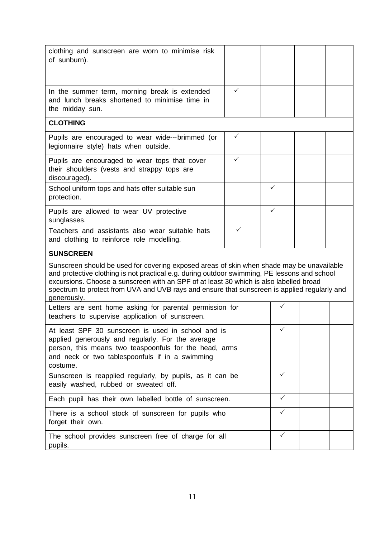<span id="page-11-0"></span>

| clothing and sunscreen are worn to minimise risk<br>of sunburn).                                                                                                                                                                                                                                                                                                                                   |              |              |  |
|----------------------------------------------------------------------------------------------------------------------------------------------------------------------------------------------------------------------------------------------------------------------------------------------------------------------------------------------------------------------------------------------------|--------------|--------------|--|
| In the summer term, morning break is extended<br>and lunch breaks shortened to minimise time in<br>the midday sun.                                                                                                                                                                                                                                                                                 | ✓            |              |  |
| <b>CLOTHING</b>                                                                                                                                                                                                                                                                                                                                                                                    |              |              |  |
| Pupils are encouraged to wear wide---brimmed (or<br>legionnaire style) hats when outside.                                                                                                                                                                                                                                                                                                          | $\checkmark$ |              |  |
| Pupils are encouraged to wear tops that cover<br>their shoulders (vests and strappy tops are<br>discouraged).                                                                                                                                                                                                                                                                                      | $\checkmark$ |              |  |
| School uniform tops and hats offer suitable sun<br>protection.                                                                                                                                                                                                                                                                                                                                     |              | ✓            |  |
| Pupils are allowed to wear UV protective<br>sunglasses.                                                                                                                                                                                                                                                                                                                                            |              | ✓            |  |
| Teachers and assistants also wear suitable hats<br>and clothing to reinforce role modelling.                                                                                                                                                                                                                                                                                                       | ✓            |              |  |
|                                                                                                                                                                                                                                                                                                                                                                                                    |              |              |  |
| <b>SUNSCREEN</b>                                                                                                                                                                                                                                                                                                                                                                                   |              |              |  |
| Sunscreen should be used for covering exposed areas of skin when shade may be unavailable<br>and protective clothing is not practical e.g. during outdoor swimming, PE lessons and school<br>excursions. Choose a sunscreen with an SPF of at least 30 which is also labelled broad<br>spectrum to protect from UVA and UVB rays and ensure that sunscreen is applied regularly and<br>generously. |              |              |  |
| Letters are sent home asking for parental permission for<br>teachers to supervise application of sunscreen.                                                                                                                                                                                                                                                                                        |              | ✓            |  |
| At least SPF 30 sunscreen is used in school and is<br>applied generously and regularly. For the average<br>person, this means two teaspoonfuls for the head, arms<br>and neck or two tablespoonfuls if in a swimming<br>costume.                                                                                                                                                                   |              | ✓            |  |
| Sunscreen is reapplied regularly, by pupils, as it can be<br>easily washed, rubbed or sweated off.                                                                                                                                                                                                                                                                                                 |              | ✓            |  |
| Each pupil has their own labelled bottle of sunscreen.                                                                                                                                                                                                                                                                                                                                             |              | $\checkmark$ |  |
| There is a school stock of sunscreen for pupils who<br>forget their own.                                                                                                                                                                                                                                                                                                                           |              | ✓            |  |